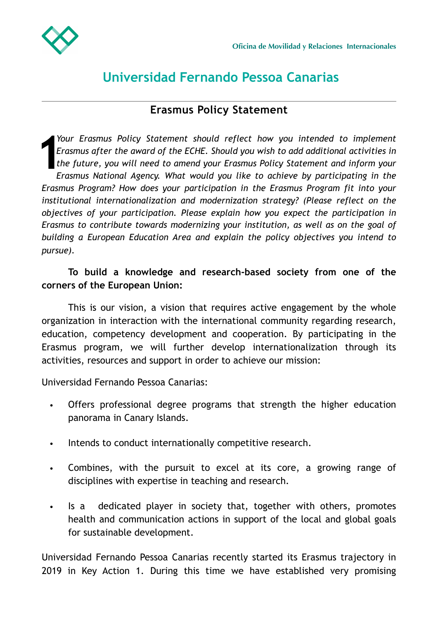

## **Universidad Fernando Pessoa Canarias**

## **Erasmus Policy Statement**

 $\frac{1}{2}$ <br> $\frac{1}{2}$ <br> $\frac{1}{2}$ <br> $\frac{1}{2}$ <br> $\frac{1}{2}$ <br> $\frac{1}{2}$ *Your Erasmus Policy Statement should reflect how you intended to implement Erasmus after the award of the ECHE. Should you wish to add additional activities in the future, you will need to amend your Erasmus Policy Statement and inform your Erasmus National Agency. What would you like to achieve by participating in the Erasmus Program? How does your participation in the Erasmus Program fit into your institutional internationalization and modernization strategy? (Please reflect on the objectives of your participation. Please explain how you expect the participation in Erasmus to contribute towards modernizing your institution, as well as on the goal of building a European Education Area and explain the policy objectives you intend to pursue).*

## **To build a knowledge and research-based society from one of the corners of the European Union:**

This is our vision, a vision that requires active engagement by the whole organization in interaction with the international community regarding research, education, competency development and cooperation. By participating in the Erasmus program, we will further develop internationalization through its activities, resources and support in order to achieve our mission:

Universidad Fernando Pessoa Canarias:

- Offers professional degree programs that strength the higher education panorama in Canary Islands.
- Intends to conduct internationally competitive research.
- Combines, with the pursuit to excel at its core, a growing range of disciplines with expertise in teaching and research.
- Is a dedicated player in society that, together with others, promotes health and communication actions in support of the local and global goals for sustainable development.

Universidad Fernando Pessoa Canarias recently started its Erasmus trajectory in 2019 in Key Action 1. During this time we have established very promising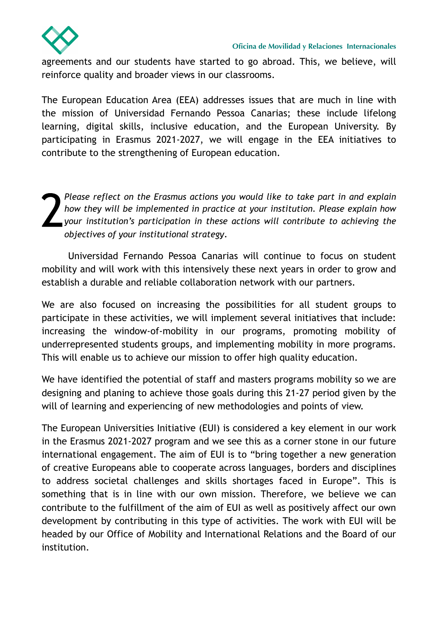

agreements and our students have started to go abroad. This, we believe, will reinforce quality and broader views in our classrooms.

The European Education Area (EEA) addresses issues that are much in line with the mission of Universidad Fernando Pessoa Canarias; these include lifelong learning, digital skills, inclusive education, and the European University. By participating in Erasmus 2021-2027, we will engage in the EEA initiatives to contribute to the strengthening of European education.

2 *Please reflect on the Erasmus actions you would like to take part in and explain how they will be implemented in practice at your institution. Please explain how your institution's participation in these actions will contribute to achieving the objectives of your institutional strategy*.

Universidad Fernando Pessoa Canarias will continue to focus on student mobility and will work with this intensively these next years in order to grow and establish a durable and reliable collaboration network with our partners.

We are also focused on increasing the possibilities for all student groups to participate in these activities, we will implement several initiatives that include: increasing the window-of-mobility in our programs, promoting mobility of underrepresented students groups, and implementing mobility in more programs. This will enable us to achieve our mission to offer high quality education.

We have identified the potential of staff and masters programs mobility so we are designing and planing to achieve those goals during this 21-27 period given by the will of learning and experiencing of new methodologies and points of view.

The European Universities Initiative (EUI) is considered a key element in our work in the Erasmus 2021-2027 program and we see this as a corner stone in our future international engagement. The aim of EUI is to "bring together a new generation of creative Europeans able to cooperate across languages, borders and disciplines to address societal challenges and skills shortages faced in Europe". This is something that is in line with our own mission. Therefore, we believe we can contribute to the fulfillment of the aim of EUI as well as positively affect our own development by contributing in this type of activities. The work with EUI will be headed by our Office of Mobility and International Relations and the Board of our institution.